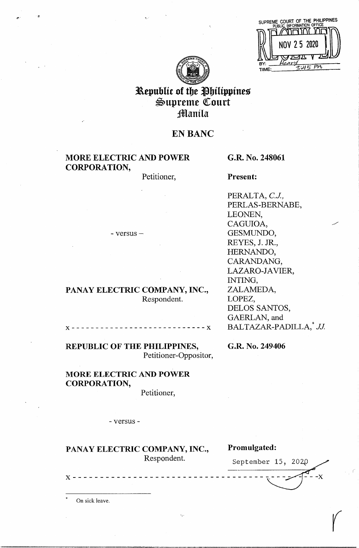|     | SUPREME COURT OF THE PHILIPPINES<br>PUBLIC INFORMATION OFFICE |
|-----|---------------------------------------------------------------|
|     |                                                               |
|     | NOV 25 2020                                                   |
|     |                                                               |
| BY: |                                                               |
|     |                                                               |



# Republic of the Philippines ~upreme QCourt **Manila**

# **EN BANC**

# **MORE ELECTRIC AND POWER CORPORATION,**

- versus -

Petitioner,

**G.R. No. 248061** 

**Present:** 

PERALTA, *C.J.,*  PERLAS-BERNABE, LEONEN, CAGUIOA, GESMUNDO, REYES, J. JR., HERNANDO, CARANDANG, LAZARO-JAVIER, INTING, ZALAMEDA, LOPEZ, DELOS SANTOS, GAERLAN, and BALTAZAR-PADILLA,<sup>\*</sup> JJ.

**x----------------------------x** 

**PANAY ELECTRIC COMPANY, INC.,** 

**REPUBLIC OF THE PHILIPPINES,**  Petitioner-Oppositor,

# **MORE ELECTRIC AND POWER CORPORATION,**

Petitioner,

Respondent.

- versus -

PANAY ELECTRIC COMPANY, INC., Promulgated:

**G.R. No. 249406** 

Respondent. September 15, 2020 **<sup>X</sup>**- - - - - - - - - - - - - - - - - - - - - - - - - - - - - - - - - - · **~-X** 

*(* 

On sick leave.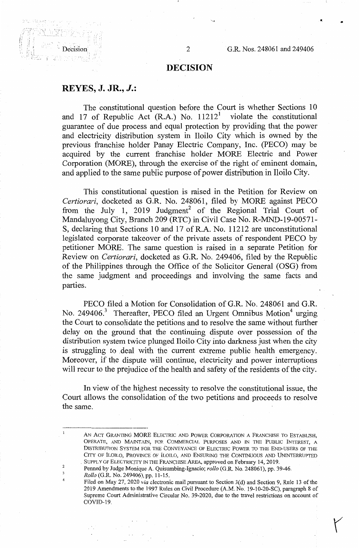## **DECISION**

### **REYES, J. JR.,** *J.:*

 $\frac{1}{2}$ 

The constitutional question before the Court is whether Sections 10 and 17 of Republic Act  $(R.A.)$  No.  $11212<sup>1</sup>$  violate the constitutional guarantee of due process and equal protection by providing that the power and electricity distribution system in Iloilo City which is owned by the previous franchise holder Panay Electric Company, Inc. (PECO) may be acquired by the current franchise holder MORE Electric and Power Corporation (MORE), through the exercise of the right of eminent domain, and applied to the same public purpose of power distribution in Iloilo City.

This constitutional question is raised in the Petition for Review on *Certiorari,* docketed as G.R. No. 248061, filed by MORE against PECO from the July 1, 2019 Judgment<sup>2</sup> of the Regional Trial Court of Mandaluyong City, Branch 209 (RTC) in Civil Case No. R-MND-19-00571- S, declaring that Sections 10 and 17 of R.A. No. 11212 are unconstitutional legislated corporate takeover of the private assets of respondent PECO by petitioner MORE. The same question is raised in a separate Petition for Review on *Certiorari,* docketed as G.R. No. 249406, filed by the Republic of the Philippines through the Office of the Solicitor General (OSG) from the same judgment and proceedings and involving the same facts and parties.

PECO filed a Motion for Consolidation of G.R. No. 248061 and G.R. No. 249406.<sup>3</sup> Thereafter, PECO filed an Urgent Omnibus Motion<sup>4</sup> urging the Court to consolidate the petitions and to resolve the same without further delay on the ground that the continuing dispute over possession of the distribution system twice plunged Iloilo City into darkness just when the city is struggling to deal with the current extreme public health emergency. Moreover, if the dispute will continue, electricity and power interruptions will recur to the prejudice of the health and safety of the residents of the city.

In view of the highest necessity to resolve the constitutional issue, the Court allows the consolidation of the two petitions and proceeds to resolve the same.

*Rollo* (G.R. No. 249406), pp. 11-15.

2

 $\overline{\mathbf{3}}$ 

4

AN ACT GRANTING **MORE** ELECTRIC AND POWER CORPORATION A FRANCHISE TO ESTABLISH, OPERATE, AND MAINTAIN, FOR COMMERCIAL PURPOSES AND IN THE PUBLIC INTEREST, A DISTRIBUTION SYSTEM FOR THE CONVEYANCE OF ELECTRIC POWER TO THE END-USERS OF THE CITY OF ILOILO, PROVINCE OF iLOILO, AND ENSURING THE CONTINUOUS AND UNINTERRUPTED SUPPLY OF ELECTRICITY IN THE FRANCHISE AREA, approved on February 14, 2019.

Penned by Judge Monique A. Quisumbing-Ignacio; *rollo* (G.R. No. 248061), pp. 39-46.

Filed on May 27, 2020 *via* electronic mail pursuant to Section 3(d) and Section 9, Rule 13 of the 2019 Amendments to the 1997 Rules on Civil Procedure (A.M. No. 19-10-20-SC), paragraph 8 of Supreme Court Administrative Circular No. 39-2020, due to the travel restrictions on account of COVID-19,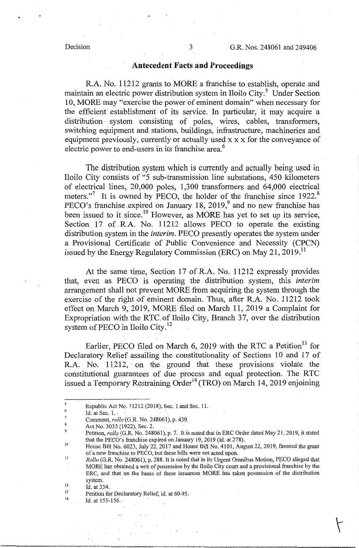### **.Antecedent Facts and Proceedings**

R.A. No. 11212 grants to MORE a franchise to establish, operate and maintain an electric power distribution system in Iloilo City.<sup>5</sup> Under Section 10, MORE may "exercise the power of eminent domain" when necessary for the efficient establishment of its service. In particular, it may acquire a distribution system consisting of poles, wires, cables, transformers, switching equipment and stations, buildings, infrastructure, machineries and equipment previously, currently or actually used x x x for the conveyance of electric power to end-users in its franchise area.<sup>6</sup>

The distribution system which is currently and actually being used in Iloilo City consists of "5 sub-transmission line substations, 450 kilometers of electrical lines, 20,000 poles, 1,300 transformers and 64,000 electrical meters."<sup>7</sup> It is owned by PECO, the holder of the franchise since 1922.<sup>8</sup> PECO's franchise expired on January 18, 2019,<sup>9</sup> and no new franchise has been issued to it since.<sup>10</sup> However, as MORE has yet to set up its service, Section 17 of R.A. No. 11212 allows PECO to operate the existing distribution system in the *interim.* PECO presently operates the system under a Provisional Certificate of Public Convenience and Necessity (CPCN) issued by the Energy Regulatory Commission (ERC) on May 21, 2019.<sup>11</sup>

At the same time, Section 17 of R.A. No. 11212 expressly provides that, even as PECO is operating the distribution system, this *interim*  arrangement shall not prevent MORE from acquiring the system through the exercise of the right of eminent domain. Thus, after R.A. No. 11212 took effect on March 9, 2019, MORE filed on March 11, 2019 a Complaint for Expropriation with the RTC. of Iloilo City, Branch 37, over the distribution system of PECO in Iloilo City.<sup>12</sup>

Earlier, PECO filed on March 6, 2019 with the RTC a Petition<sup>13</sup> for Declaratory Relief assailing the constitutionality of Sections 10 and 17 of R.A. No. 11212, on the ground that these provisions violate the constitutional guarantees of due process and equal protection. The RTC issued a Temporary Restraining Order<sup>14</sup> (TRO) on March 14, 2019 enjoining

<sup>5</sup>  Republic Act No. 11212 (2018), Sec. 1 and Sec. 11.

<sup>6</sup>  7 Id. at Sec.  $1.$ 

Comment, *rollo* (G.R. No. 248061), p. 439.  $\bf{8}$ 

Act No. 3035 (1922), Sec. 2.

<sup>9</sup>  Petition, *roilq* (G.R. No. 248061), p. 7. It is noted that in ERC Order dated May 21, 2019, it stated that the PECO's franchise expired on January 19, 2019 (id. at 278).

<sup>10</sup>  House Bill No. 6023, July 22, 2017 and House Bill No. 4101, August 22, 2019, favored the grant of a new franchise to PECO, but these bills were not acted upon.

Ii *Rollo* (G.R. No. 248061), p. 288. It is n'oted that in its Urgent Omnibus Motion, PECO alleged that MORE has obtained a writ of possession by the Iloilo City court and a provisional franchise by the ERC, and that qn the bases of these issuances MORE has taken possession of the distribution system.

<sup>12</sup>  Id. at 334.

<sup>13</sup>  Petition for Declaratory Relief, id. at 60-95.

<sup>14</sup>  Id. at 155-156.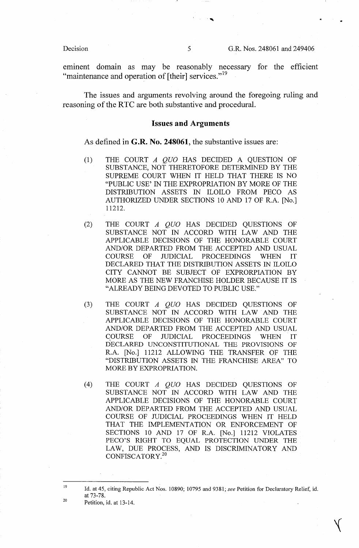Decision 5 G.R. Nos. 248061 and 249406

eminent domain as may be reasonably necessary for the efficient "maintenance and operation of [their] services."<sup>19</sup>

The issues and arguments revolving around the foregoing ruling and reasoning of the RTC are both substantive and procedural.

### **Issues and Arguments**

As defined in **G.R. No. 248061,** the substantive issues are:

- (1) THE COURT *A QUO* HAS DECIDED A QUESTION OF SUBSTANCE, NOT THERETOFORE DETERMINED BY THE SUPREME COURT WHEN IT HELD THAT THERE IS NO "PUBLIC USE' IN THE EXPROPRIATION BY MORE OF THE DISTRIBUTION ASSETS IN ILOILO FROM PECO AS AUTHORIZED UNDER SECTIONS 10 AND 17 OF R.A. [No.] 11212.
- (2) THE COURT *A QUO* HAS DECIDED QUESTIONS OF SUBSTANCE NOT IN ACCORD WITH LAW AND THE APPLICABLE DECISIONS OF THE HONORABLE COURT AND/OR DEPARTED FROM THE ACCEPTED AND USUAL COURSE OF JUDICIAL PROCEEDINGS WHEN IT DECLARED THAT THE DISTRIBUTION ASSETS IN ILOILO CITY CANNOT BE SUBJECT OF EXPRORPIATION BY MORE AS THE NEW FRANCHISE HOLDER BECAUSE IT IS "ALREADY BEING DEVOTED TO PUBLIC USE."
- (3) THE COURT A *QUO* HAS DECIDED QUESTIONS OF SUBSTANCE NOT IN ACCORD WITH LAW AND THE APPLICABLE DECISIONS OF THE HONORABLE COURT AND/OR DEPARTED FROM THE ACCEPTED AND USUAL COURSE OF JUDICIAL PROCEEDINGS WHEN IT DECLARED UNCONSTITUTIONAL THE PROVISIONS OF R.A. [No.] 11212 ALLOWING THE TRANSFER OF THE "DISTRIBUTION ASSETS IN THE FRANCHISE AREA" TO MORE BY EXPROPRIATION.
- (4) THE COURT A *QUO* HAS DECIDED QUESTIONS OF SUBSTANCE NOT IN ACCORD WITH LAW AND THE APPLICABLE DECISIONS OF THE HONORABLE COURT AND/OR DEPARTED FROM THE ACCEPTED AND USUAL COURSE OF mDICIAL PROCEEDINGS WHEN IT HELD THAT THE IMPLEMENTATION OR ENFORCEMENT OF SECTIONS 10 AND 17 OF R.A. [No.] 11212 VIOLATES PECO'S RIGHT TO EQUAL PROTECTION UNDER THE LAW, DUE PROCESS, AND IS DISCRIMINATORY AND CONFISCATORY.<sup>20</sup>

 $\sqrt{ }$ 

Petition, id. at 13-14.

<sup>19</sup>  20 Id. at 45, citing Republic Act Nos. 10890; 10795 and 9381; *see* Petition for Declaratory Relief, id. at 73-78.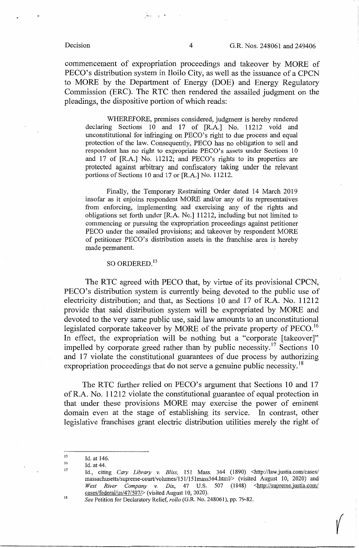commencement of expropriation proceedings and takeover by MORE of PECO's distribution system in Iloilo City, as well as the issuance of a CPCN to MORE by the Department of Energy (DOE) and Energy Regulatory Commission (ERC). The RTC then rendered the assailed judgment on the pleadings, the dispositive portion of which reads:

WHEREFORE, premises considered, judgment is hereby rendered declaring Sections 10 and 17 of [R.A.] No. 11212 void and unconstitutional for infringing on PECO's right to due process and equal protection of the law. Consequently, PECO has no obligation to sell and respondent has no right to expropriate PECO's assets under Sections 10 and 17 of [R.A.] No. 11212; and PECO's rights to its properties are protected against arbitrary and confiscatory taking under the relevant portions of Sections 10 and 17 or [R.A.] No. 11212.

Finally, the Temporary Restraining Order dated 14 March 2019 insofar as it enjoins respondent MORE and/or any of its representatives from enforcing, implementing and exercising any of the rights and obligations set forth under [R.A. No.] 11212, including but not limited to commencing or pursuing the expropriation proceedings against petitioner PECO under the assailed provisions; and takeover by respondent MORE of petitioner PECO's distribution assets in the franchise area is hereby made permanent.

# SO ORDERED.<sup>15</sup>

The RTC agreed with PECO that, by virtue of its provisional CPCN, PECO's distribution system is currently being devoted to the public use of electricity distribution; and that, as Sections 10 and 17 of R.A. No. 11212 provide that said distribution system will be expropriated by MORE and devoted to the very same public use, said law amounts to an unconstitutional legislated corporate takeover by MORE of the private property of  $PECO$ .<sup>16</sup> In effect, the expropriation will be nothing but a "corporate [takeover]" impelled by corporate greed rather than by public necessity.<sup>17</sup> Sections 10 and 17 violate the constitutional guarantees of due process by authorizing expropriation proceedings that do not serve a genuine public necessity.<sup>18</sup>

The RTC further relied on PECO's argument that Sections 10 and 17 of R.A. No. 11212 violate the constitutional guarantee of equal protection in that under these provisions MORE may exercise the power of eminent domain even at the stage of establishing its service. In contrast, other legislative franchises grant electric distribution utilities merely the right of

18

 $\sqrt{ }$ 

 $, -1$ 

<sup>15</sup>  16 Id. at 146.

<sup>17</sup>  Id. at 44.

Id., citing *Cary Library v. Bliss,* 151 Mass. 364 (1890) <http://law.justia.com/cases/ massachusetts/supreme-court/volumes/151/151mass364.html/> (visited August 10, 2020) and West River Company v. Dix, 47 U.S. 507 (1848) <http://supreme.justia.com/ cases/federal/us/47/507/> (visited August 10, 2020).

*See* Petition for Declaratory Relief, *rollo* (G.R. No. 248061), pp. 79-82.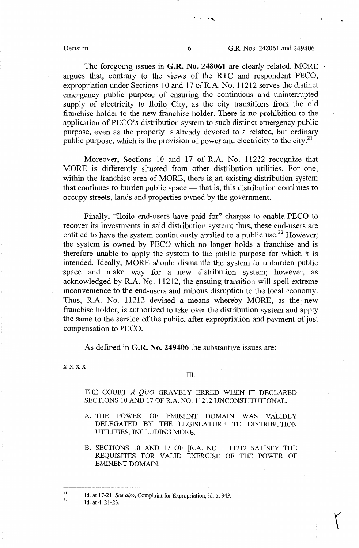The foregoing issues in **G.R. No. 248061** are clearly related. MORE argues that, contrary to the views of the RTC and respondent PECO, expropriation under Sections 10 and 17 ofR.A. No. 11212 serves the distinct emergency public purpose of ensuring the continuous and uninterrupted supply of electricity to Iloilo City, as the city transitions from the old franchise holder to the new franchise holder. There is no prohibition to the application of PECO's distribution system to such distinct emergency public purpose, even as the property is already devoted to a related, but ordinary public purpose, which is the provision of power and electricity to the city.<sup>21</sup>

Moreover, Sections 10 and 17 of R.A. No. 11212 recognize that MORE is differently situated from other distribution utilities. For one, within the franchise area of MORE, there is an existing distribution system that continues to burden public space  $-$  that is, this distribution continues to occupy streets, lands and properties owned by the government.

Finally, "Iloilo end-users have paid for" charges to enable PECO to recover its investments in said distribution system; thus, these end-users are entitled to have the system continuously applied to a public use.<sup>22</sup> However, the system is owned by PECO which no longer holds a franchise and is therefore unable to apply the system to the public purpose for which it is intended. Ideally, MORE should dismantle the system to unburden public space and make way for a new distribution system; however, as acknowledged by R.A. No. 11212, the ensuing transition will spell extreme inconvenience to the end-users and ruinous disruption to the local economy. Thus, R.A. No. 11212 devised a means whereby MORE, as the new franchise holder, is authorized to take over the distribution system and apply the same to the service of the public, after expropriation and payment of just compensation to PECO.

As defined in **G.R. No. 249406** the substantive issues are:

xxxx

### III.

THE COURT *A QUO* GRAVELY ERRED WHEN IT DECLARED SECTIONS 10 AND 17 OF R.A. NO. 11212 UNCONSTITUTIONAL.

- A. THE POWER OF EMINENT DOMAIN WAS VALIDLY \_DELEGATED BY THE LEGISLATURE TO DISTRIBUTION UTILITIES, INCLUDING MORE.
- B. SECTIONS 10 AND 17 OF [R.A. NO.] 11212 SATISFY THE REQUISITES FOR VALID EXERCISE OF THE POWER OF EMINENT DOMAIN.

 $\mathcal{L}$  .

<sup>21</sup>  22 Id. at 17-21. *See also,* Complaint for Expropriation, id. at 343.

Id. at 4, 21-23.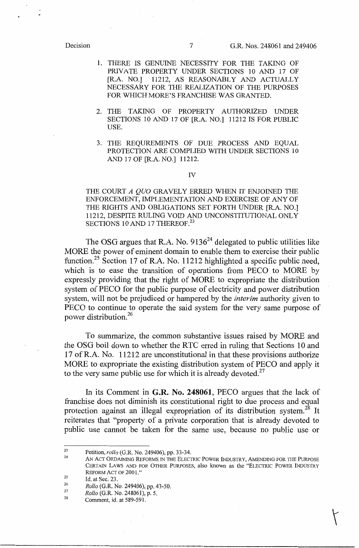- 1. THERE IS GENUINE NECESSITY FOR THE TAKING OF PRIVATE PROPERTY UNDER SECTIONS 10 AND 17 OF [R.A. NO.] 11212, AS REASONABLY AND ACTUALLY NECESSARY FOR THE REALIZATION OF THE PURPOSES FOR WHICH MORE'S FRANCHISE WAS GRANTED.
- 2. THE TAKING OF PROPERTY AUTHORIZED UNDER SECTIONS 10 AND 17 OF [R.A. NO.] 11212 IS FOR PUBLIC USE.
- 3. THE REQUREMENTS OF DUE PROCESS AND EQUAL PROTECTION ARE COMPLIED WITH UNDER SECTIONS 10 AND 17 OF [R.A. NO.] 11212.

### IV

THE COURT *A QUO* GRAVELY ERRED WHEN IT ENJOINED THE ENFORCEMENT, IMPLEMENTATION AND EXERCISE OF ANY OF THE RIGHTS AND OBLIGATIONS SET FORTH UNDER [R.A. NO.] 11212, DESPITE RULING VOID AND UNCONSTITUTIONAL ONLY SECTIONS 10 AND 17 THEREOF.<sup>23</sup>

The OSG argues that R.A. No.  $9136^{24}$  delegated to public utilities like MORE the power of eminent domain to enable them to exercise their public function.<sup>25</sup> Section 17 of R.A. No. 11212 highlighted a specific public need, which is to ease the transition of operations from PECO to MORE by expressly providing that the right of MORE to expropriate the distribution system of PECO for the public purpose of electricity and power distribution system, will not be prejudiced or hampered by the *interim* authority given to PECO to continue to operate the said system for the very same purpose of power distribution. 26

To summarize, the common substantive issues raised by MORE and the OSG boil down to whether the RTC erred in ruling that Sections 10 and 17 ofR.A. No. 11212 are unconstitutional in that these provisions authorize MORE to expropriate the existing distribution system of PECO and apply it to the very same public use for which it is already devoted. $27$ 

In its Comment in **G.R. No. 248061,** PECO argues that the lack of franchise does not diminish its constitutional right to due process and equal protection against an illegal expropriation of its distribution system.<sup>28</sup> It reiterates that "property of a private corporation that is already devoted to public use cannot be taken for the same use, because no public use or

<sup>23</sup>  Petition, *rollo* (G.R. No. 249406), pp. 33-34.

<sup>24</sup>  25 AN ACT ORDAINING REFORMS IN THE ELECTRIC POWER INDUSTRY, AMENDING FOR THE PURPOSE CERTAIN LAWS AND FOR OTHER PURPOSES, also known as the "ELECTRIC POWER INDUSTRY REFORM ACT OF 2001."

<sup>26</sup>  Id. at Sec. 23.

<sup>27</sup>  *Rollo* (G.R. No. 249406), pp. 43-50.

<sup>28</sup>  *Rollo* (G.R. No. 248061), p. 5.

Comment, id. at 589-591.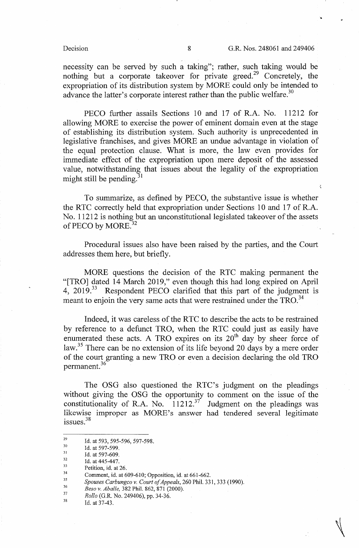$\tilde{\mathcal{L}}$ 

necessity can be served by such a taking"; rather, such taking would be nothing but a corporate take over for private greed.<sup>29</sup> Concretely, the expropriation of its distribution system by MORE could only be intended to advance the latter's corporate interest rather than the public welfare.<sup>30</sup>

PECO further assails Sections 10 and 17 of R.A. No. 11212 for allowing MORE to exercise the power of eminent domain even at the stage of establishing its distribution system. Such authority is unprecedented in legislative franchises, and gives MORE an undue advantage in violation of the equal protection clause. What is more, the law even provides for immediate effect of the expropriation upon mere deposit of the assessed value, notwithstanding that issues about the legality of the expropriation might still be pending.<sup>31</sup>

To summarize, as defined by PECO, the substantive issue is whether the RTC correctly held that expropriation under Sections 10 and 17 of R.A. No. 11212 is nothing but an unconstitutional legislated takeover of the assets of PECO by MORE.<sup>32</sup>

Procedural issues also have been raised by the parties, and the Court addresses them here, but briefly.

MORE questions the decision of the RTC making permanent the "[TRO] dated 14 March 2019," even though this had long expired on April 4, 2019.<sup>33</sup> Respondent PECO clarified that this part of the judgment is Respondent PECO clarified that this part of the judgment is meant to enjoin the very same acts that were restrained under the TRO.<sup>34</sup>

Indeed, it was careless of the RTC to describe the acts to be restrained by reference to a defunct TRO, when the RTC could just as easily have enumerated these acts. A TRO expires on its  $20<sup>th</sup>$  day by sheer force of law.<sup>35</sup> There can be no extension of its life beyond 20 days by a mere order of the court granting a new TRO or even a decision declaring the old TRO permanent. 36

The OSG also questioned the RTC's judgment on the pleadings without giving the OSG the opportunity to comment on the issue of the constitutionality of R.A. No.  $11212.^{37}$  Judgment on the pleadings was likewise improper as MORE's answer had tendered several legitimate issues.<sup>38</sup>

32 Id. at 597-609.

<sup>29</sup>  30 Id. at 593, 595-596, 597-598.

<sup>31</sup>  Id. at 597-599.

<sup>33</sup>  Id. at 445-447.

<sup>34</sup>  Petition, id. at 26.

<sup>35</sup>  Comment, id. at 609-610; Opposition, id. at 661-662.

<sup>36</sup>  *Spouses Carbungco v. Court of Appeals,* 260 Phil. 331, 333 (1990).

<sup>37</sup>  *Besa v. Aballe,* 382 Phil. 862, 871 (2000).

<sup>38</sup>  *Rollo* (G.R. No. 249406), pp. 34-36.

Id. at 37-43.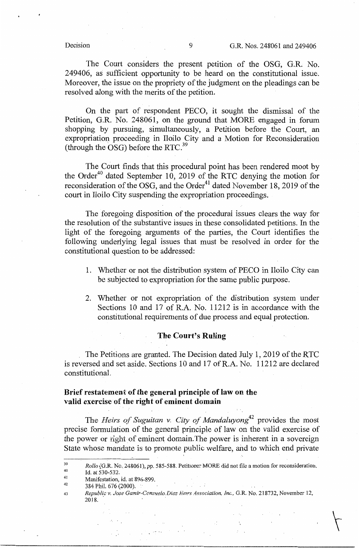The Court considers the present petition of the OSG, G.R. No. 249406, as sufficient opportunity to be heard on the constitutional issue. Moreover, the issue on the propriety of the judgment on the pleadings can be resolved along with the merits of the petition.

On the part of respondent PECO, it sought the dismissal of the Petition, G.R. No. 248061, on the ground that MORE engaged in forum shopping by pursuing, simultaneously, a Petition before the Court, an expropriation proceeding in Iloilo City and a Motion for Reconsideration (through the OSG) before the RTC. <sup>39</sup>

The Court finds that this procedural point has been rendered moot by the Order<sup>40</sup> dated September 10, 2019 of the RTC denying the motion for reconsideration of the OSG, and the Order $41$  dated November 18, 2019 of the court in Iloilo City suspending the expropriation proceedings.

The foregoing disposition of the procedural issues clears the way for the resolution of the substantive issues in these consolidated petitions. In the light of the foregoing arguments of the parties, the Court identifies the following underlying legal issues that must be resolved in order for the constitutional question to be addressed:

- 1. Whether or not the distribution system of PECO in Iloilo City can be subjected to expropriation for the same public purpose.
- 2. Whether or not expropriation of the distribution system under Sections 10 and 17 of R.A. No. 11212 is in accordance with the constitutional requirements of due process and equal protection.

# **The Court's Ruling**

The Petitions are granted. The Decision dated July 1, 2019 of the RTC is reversed and set aside. Sections 10 and 17 ofR.A. No. 11212 are declared constitutiona],

# Brief restatement of the general principle of law on the valid exercise of the right of eminent domain

The *Heirs of Suguitan v. City of Mandaluyong42* provides the most precise formulation of the general principle of law on the valid exercise of the power or right of eminent domain. The power is inherent in a sovereign State whose mandate is to promote public welfare, and to which end private

41 Id. at 530-532.

- 42 Manifestation, id. at 896-899. 384 Phil. 676 (2000).
- 43 *Republic v. Jose Gamir-Consuelo Diaz Herrs Association, Inc., G.R. No. 218732, November 12,*<br>2018

<sup>39</sup>  40 *Rollo* (G.R. No. 248061), pp. 585-588. Petitioner MORE did not file a motion for reconsideration.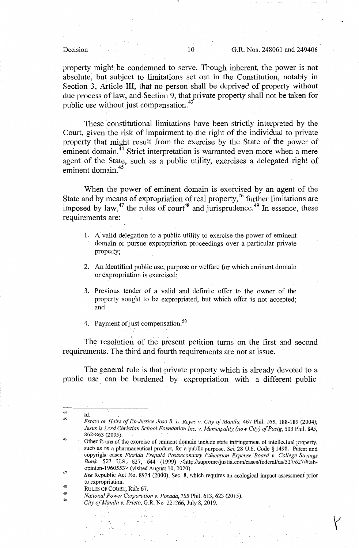property might be condemned to serve. Though inherent, the power is not absolute, but subject to limitations set out in the Constitution, notably in Section 3, Article III, that no person shall be deprived of property without due process of law, and Section 9, that private property shall not be taken for public use without just compensation.<sup>43</sup>

These constitutional limitations have been strictly interpreted by the Court, given the risk of impairment to the right of the individual to private property that might result from the exercise by the State of the power of eminent domain.<sup>44</sup> Strict interpretation is warranted even more when a mere agent of the State, such as a public utility, exercises a delegated right of eminent domain. 45

When the power of eminent domain is exercised by an agent of the State and by means of expropriation of real property,<sup>46</sup> further limitations are imposed by law, $47$  the rules of court<sup>48</sup> and jurisprudence.<sup>49</sup> In essence, these requirements are:

- 1. A valid delegation to a public utility to exercise the power of eminent domain or pursue expropriation proceedings over a particular private property;
- 2. An identified public use, purpose or welfare for which eminent domain or expropriation is exercised;
- 3. Previous tender of a valid and definite offer to the owner of the property sought to be expropriated, but which offer is not accepted; and
- 4. Payment of just compensation.<sup>50</sup>

The resolution of the present petition turns on the first and second requirements. The third and fourth requirements are not at issue.

The general rule is that private property which is already devoted to a public use can be burdened by expropriation with a different public

RULES OF COURT, Rule 67.

44 45

Id.

*Estate ar Heirs of Ex-Justice Jose* B. L. *Reyes v. City of Manila,* 467 Phil. 165, 188-189 (2004); *Jesus is Lord Christian School Foundation Inc. v. Municipality (now City) of Pasig,* 503 Phil. 845, 862-863 (2005), .

<sup>46</sup>  Other forms of the exercise of eminent domain include state infringement of intellectual property, such as on a pharmaceutical product, for a public purpose. *See* 28 U.S. Code § 1498. Patent and copyright cases *Florida Prepaid Postsecondary Education Expense Board v. College Savings* Bank, 527 U.S. 627, 644 (1999) <http://supreme/justia.com/cases/federal/us/527/627/#tabopinion-1960553> (visited August 10, 2020).

<sup>47</sup>  48 *See* Republic Act No. 8974 (2000), Sec. 8, which requires an ecological impact assessment prior to expropriation.

<sup>49</sup>  *National Power Corporation* v. *Posada,* 755 Phil. 613, 623 (2015).

<sup>50</sup>  *City ofManila v. Prieto,* G,R. No 221366, July 8, 2019.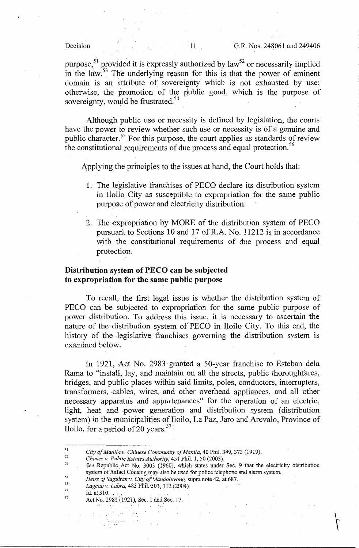purpose,<sup>51</sup> provided it is expressly authorized by law<sup>52</sup> or necessarily implied in the law.<sup>53</sup> The underlying reason for this is that the power of eminent domain is an attribute of sovereignty which is not exhausted by use; otherwise, the promotion of the public good, which is the purpose of sovereignty, would be frustrated.<sup>54</sup>

Although public use or necessity is defined by legislation, the courts have the power to review whether such use or necessity is of a genuine and public character.55 For this purpose, the court applies as standards of review the constitutional requirements of due process and equal protection. 56

Applying the principles to the issues at hand, the Court holds that:

- 1. The legislative franchises of PECO declare its distribution system in Iloilo City as susceptible to expropriation for the same public purpose of power and electricity distribution.
- 2. The expropriation by MORE of the distribution system of PECO pursuant to Sections 10 and 17 ofR.A. No. 11212 is in accordance with the constitutional requirements of due process and equal protection.

## **Distribution system of PECO can be subjected to expropriation for the same public purpose**

To recall, the first legal issue is whether the distribution system of PECO can be subjected to expropriation for the same public purpose of power distribution, To address this issue, it is necessary to ascertain the nature of the distribution system of PECO in Iloilo City. To this end, the history of the legislative franchises governing the distribution system is examined below.

In 1921, Act No. 2983 granted a 50-year franchise to Esteban dela Rama to "install, lay, and maintain on all the streets, public thoroughfares, bridges, and public places within said limits, poles, conductors, interrupters, transformers, cables, wires, and other overhead appliances, and all other necessary apparatus and appurtenances" for the operation of an electric, light, heat and power generation and -distribution system (distribution system) in the municipalities of Iloilo, La Paz, Jaro and Arevalo, Province of Iloilo, for a period of 20 years.  $57$ 

City of Manila v. Chinese Community of Manila, 40 Phil. 349, 373 (1919).

- 54 *Heirs of Suguitan v. City of Mandafuyong,* supra note 42, at 687 ..
- 55 *Lagcao v. Labra,* 483 Phil.-303, 312 (2004).
- 56 57 Id. at 310. . . .

51

Act No. 2983 (1921), Sec. 1 and Sec. 17.

' : a state of the state of the state of

<sup>52</sup>  *Chavez v. Public Estates Authority, 451 Phil. 1, 50 (2003).* 

<sup>53</sup>  *See* Republic; Act No. 3003 (1960), which states under Sec. 9 that the electricity distribution system of Rafael Consing may also be used for police telephone and alarm system.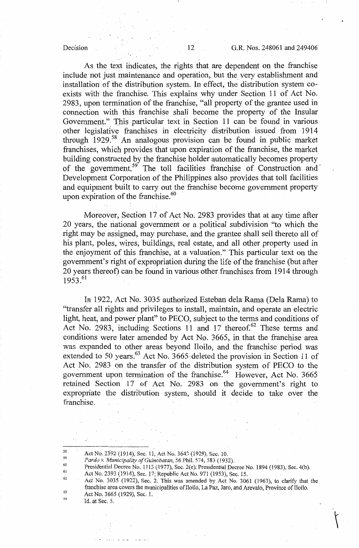### Decision 12 G.R. Nos. 248061 and 249406

As the text indicates, the rights that are dependent on the franchise include not just maintenance and operation, but the very establishment and installation of the distribution system. In effect, the distribution system coexists with the franchise. This explains why under Section 11 of Act No. 2983, upon termination of the franchise, "all property of the grantee used in connection with this franchise shall become the property of the Insular Government." This particular text in Section 11 can be found in various other legislative franchises in electricity distribution issued from 1914 through  $1929$ <sup>58</sup> An analogous provision can be found in public market franchises, which provides that upon expiration of the franchise, the market building constructed by the franchise holder automatically becomes property of the government.<sup>59</sup> The toll facilities franchise of Construction and Development Corporation of the Philippines also provides that toll facilities and equipment built to carry out the franchise become government property upon expiration of the franchise. $^{60}$ 

Moreover, Section 17.of Act No. 2983 provides that at any time after 20 years, the national government or a political subdivision "to which the right may be assigned, may purchase, and the grantee shall sell thereto all of his plant, poles, wires, buildings, real estate, and all other property used in the enjoyment of this franchise, at a valuation." This particular text on the government's right of expropriation during the life of the franchise (but after 20 years thereof) can be found in various other franchises from 1914 through 1953.<sup>61</sup>

In 1922, Act No. 3035 authorized Esteban dela Rama (Dela Rama) to "transfer all rights and privileges to install, maintain, and operate an electric light, heat, and power plant" to PECO, subject to the terms and conditions of Act No. 2983, including Sections 11 and 17 thereof.<sup>62</sup> These terms and conditions were later amended by Act No. 3665, in that the franchise area was expanded to other areas beyond Iloilo, and the franchise period was extended to 50 years.<sup>63</sup> Act No. 3665 deleted the provision in Section 11 of Act No. 2983 on the transfer of the distribution system of PECO. to the government upon termination of the franchise.<sup>64</sup> However, Act No. 3665 retained Section 17 of Act No. 2983 on the government's right to expropriate the distribution system, should it decide to take over the franchise.

 $\langle$ 

Id. at Sec. 5.

<sup>58</sup>  Act No. 2392 (1914), Sec. 11; Act No. 3643 (1929), Sec. 10.

<sup>59</sup>  60 *Pardo v. 'Munic:pality of Guinobatan,* 56 Phil. 574, 583 (I932),

<sup>6</sup>i Presidential Decree No. 1113 (1977), Sec. 2(e); Presidential Decree No. 1894 (1983), Sec. 4(b).

Act No. 2393 (1914), Sec. 17; Republic Act No. 971 (1953), Sec. 15.

<sup>62</sup>  63 64 Act No. 3035 (1922), Sec. 2. This was amended by Act No. 3061 (1963), to clarify that the franchise area covers the municipalities of Iloilo, La Paz, Jaro, and Arevalo, Province of Iloilo. Act No. 3665 (1929), Sec. 1.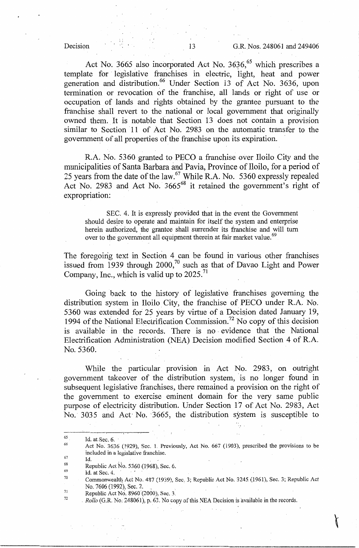Act No. 3665 also incorporated Act No.  $3636<sup>65</sup>$  which prescribes a template for legislative franchises in electric, light, heat and power generation and distribution.<sup>66</sup> Under Section 13 of Act No. 3636, upon termination or revocation of the franchise, all lands or right of use or occupation of lands and rights obtained by the grantee pursuant to the franchise shall revert to the national or local government that originally owned them. It is notable that Section 13 does not contain a provision similar to Section 11 of Act No. 2983 on the automatic transfer to the government of all properties of the franchise upon its expiration. ·

R.A. No. 5360 granted to PECO a franchise over Iloilo City and the municipalities of Santa Barbara and Pavia, Province of Iloilo, for a period of 25 years from the date of the law.<sup>67</sup> While R.A. No. 5360 expressly repealed Act No. 2983 and Act No. 3665<sup>68</sup> it retained the government's right of expropriation:

SEC. 4. It is expressly provided that in the event the Government should desire to operate and maintain for itself the system and enterprise herein authorized, the grantee shall surrender its franchise and will turn over to the government all equipment therein at fair market value.<sup>69</sup>

The foregoing text in Section 4 can be found in various other franchises issued from 1939 through 2000, $70$  such as that of Davao Light and Power Company, Inc., which is valid up to  $2025$ .<sup>71</sup>

Going back to the history of legislative franchises governing the distribution system in Iloilo. City, the franchise of PECO under R.A. No. 5360 was extended for 25 years by virtue of a Decision dated January 19, 1994 of the National Electrification Commission.<sup>72</sup> No copy of this decision is available in the records. There is no evidence that the National Electrification Administration (NEA) Decision modified Section 4 of R.A. No. 5360.

While the particular provision in Act No. 2983, on outright government takeover of the distribution system, is no longer found in subsequent legislative franchises, there remained a provision on the right of the government to exercise eminent domain for the very same public purpose of electricity distribution. Under Section 17 of Act No. 2983, Act No. 3035 and Act No. 3665, the distribution system is susceptible to

67 Id.

69 Id. at Sec.  $4$ .

<sup>65</sup>  Id. at Sec.  $6.$ 

<sup>66</sup>  Act No. 3636 (1929), Sec. 1. Previously, Act No. 667 (1903), prescribed the provisions to be included in a legislative franchise.

<sup>68</sup>  Republic Act No. 5360 (1968), Sec. 6.

<sup>70</sup>  Commonwealth: Act No. 487 (1939), Sec. 3; Republic Act No. 3245 (1961), Sec. 3; Republic Act No. 7606 (1992), Sec. 2.

<sup>71</sup>  72 Republic Act No. 8960 (2000), Sec. 3.

<sup>.</sup> *Rollo* (G.R. No. 248061), p. 63. No copy of this NEA Decision is available in the records.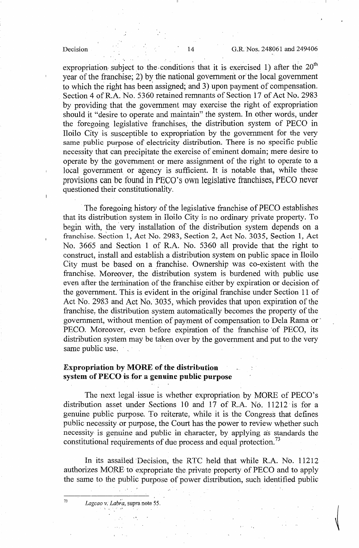### Decision 14 G.R. Nos. 248061 and 249406

expropriation subject to the conditions that it is exercised 1) after the  $20^{th}$ year of the franchise; 2) by the national government or the local government to which the right has been assigned; and 3) upon payment of compensation. Section 4 of R.A. No. 5360 retained remnants of Section 17 of Act No. 2983 by providing that the government may exercise the right of expropriation should it "desire to operate and maintain" the system. In other words, under the foregoing legislative franchises, the distribution system of PECO in Iloilo City is susceptible to expropriation by the government for the very same public purpose of electricity distribution. There is no specific public necessity that can precipitate the exercise of eminent domain; mere desire to operate by the government or mere assignment of the right to operate to a local government or agency is sufficient. It is notable that, while these provisions can be found in PECO's own legislative franchises, PECO never questioned their constitutionality.

The foregoing history of the legislative franchise of PECO establishes that its distribution system in Iloilo City is no ordinary private property. To begin with, the very installation of the distribution system depends on a franchise. Section 1, Act No. 2983, Section 2, Act No. 3035, Section 1, Act No. 3665 and Section 1 of R.A. No. 5360 all provide that the right to construct, install and establish a distribution system on public space in Iloilo City must be based on a franchise. Ownership was co-existent with the franchise. Moreover, the distribution system is burdened with public use even after the termination of the franchise either by expiration or decision of the government. This is evident in the original franchise under Section 11 of Act No. 2983 and Act No. 3035, which provides that upon expiration of the franchise, the distribution system automatically becomes the property of the government, without mention of payment of compensation to Dela Rama or · PECO. Moreover, even before expiration of the franchise of PECO, its distribution system may be taken over by the government and put to the very same public use.

# **Expropriation by MORE of the distribution**  system of PECO is for a genuine public purpose

The next legal issue is whether expropriation by MORE of PECO's distribution asset under Sections l0 and 17 of R.A. No. 11212 is for a genuine public purpose. To reiterate, while it is the Congress that defines public necessity or purpose, the Court has the power to review whether such necessity is genuine and public in character, by applying as standards the constitutional requirements of due process and equal protection.<sup>73</sup>

In its assailed Decision, the RTC held that while R.A. No. 11212 authorizes MORE to expropriate the private property of PECO and to apply the same to the public purpose of power distribution, such identified public

<sup>73</sup> Lagcao v. Labra, supra note 55.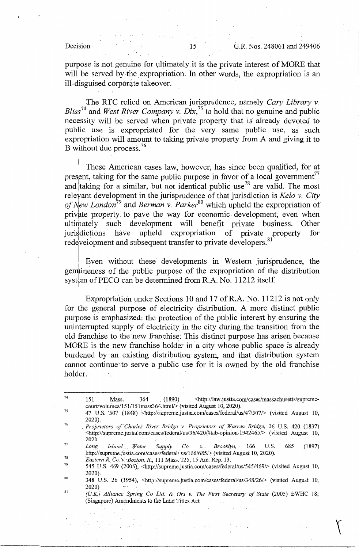purpose is not genuine for ultimately it is the private interest of MORE that will be served by the expropriation. In other words, the expropriation is an ill-disguised corporate takeover.

The RTC relied on American jurisprudence, namely *Cary Library v. Bliss<sup>74</sup>*and *West River Company v. Dix,<sup>75</sup>*to hold that no genuine and public necessity will be served when private property that is already devoted to public use is expropriated for the very same public use, as such expropriation will amount to taking private property from A and giving it to B without due process.<sup>76</sup>

These American cases law, however, has since been qualified, for at present, taking for the same public purpose in favor of a local government<sup>77</sup> and taking for a similar, but not identical public use<sup>78</sup> are valid. The most releyant development in the jurisprudence of that jurisdiction is *Kela v. City*  of New London<sup>79</sup> and *Berman v. Parker*<sup>80</sup> which upheld the expropriation of private property to pave the way for economic development, even when ultimately such development will benefit private business. Other jurisdictions have upheld expropriation of private property for redevelopment and subsequent transfer to private developers.<sup>81</sup>

! **Even without these developments** in **Western jurisprudence, the**  genuineness of the public purpose of the expropriation of the distribution system of PECO can be determined from R.A. No. 11212 itself.

Expropriation under Sections 10 and 17 ofR.A. No. 11212 is not only for the general purpose of electricity distribution. A more distinct public purpose is emphasized: the protection of the public interest by ensuring the uninterrupted supply of electricity in the city during the transition from the old franchise to the new franchise; This distinct purpose has arisen because MORE is the new franchise holder in a city whose public space is already burdened by an existing distribution system, and that distribution system cannot continue· to serve a public use for it is owned by the old franchise holder.

<sup>74</sup>  75 76 77 78 79 80 81 151 Mass. 364 (1890) <http://law.justia.com/cases/massachusetts/supremecourt/volumes/151/15lmass364.html/> (visited August 10, 2020). 47 U.S. 507 (1848) <http://supreme.justia.com/cases/federal/us/47/507/> (visited August 10, 2020). . *Proprietors a/Charles River Bridge v. Proprietors of Warren Bridge,* 36 U.S. 420 (1837) · <http://supreme.justia'.com/cases/federa1/us/36/420/#tab-opinion-1942465/> (visited August 10, 2020 *Long Island* . *Water S11pply Co. v.. Brooklyn,* '. 166 U.S. 685 (1897) http://supreme.justia.com/cases/federal/ us/166/685/> (visited August 10, 2020). *Eastern R.\_ Co. \'.·Boston, R.,* 111 Mass. 125, 15 Am. Rep. 13. 545 U.S. 469 (2005), <http://supreme.justia.com/cases/federal/us/545/469/> (visited August 10, 2020). 348 U.S. 26 (1954), <http://supreme.justia.com/cases/federal/us/348/26/> (visited August 10, 2020) *(UK.) Alliance Spring Co Ltd & Ors v. The First Secretary of State* (2005) EWHC 18; (Singapore) Amendments to the Land Titles Act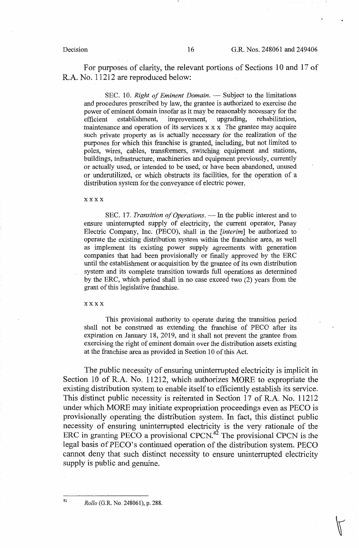For purposes of clarity, the relevant portions of Sections 10 and 17 of R.A. No. 11212 are reproduced below:

SEC. 10. *Right of Eminent Domain*. — Subject to the limitations and procedures prescribed by law, the grantee is authorized to exercise the power of eminent domain insofar as it may be reasonably necessary for the efficient establishment, improvement, upgrading, rehabilitation, maintenance and operation of its services x x x The grantee may acquire such private property as is actually necessary for the realization of the purposes for which this franchise is granted, including, but not limited to poles, wires, cables, transformers, switching equipment and stations, buildings, infrastructure, machineries and equipment previously, currently or actually used, or intended to be used, or have been abandoned, unused or underutilized, or which obstructs its facilities, for the operation of a distribution system for the conveyance of electric power.

xxxx

SEC. 17. *Transition of Operations*. — In the public interest and to ensure uninterrupted supply of electricity, the current operator, Panay Electric Company, Inc. (PECO), shall in the *[interim]* be authorized to operate the existing distribution system within the franchise area, as well as implement its existing power supply agreements with generation companies that had been provisionally or finally approved by the ERC until the establishment or acquisition by the grantee of its own distribution system and its complete transition towards full operations as determined by the ERC, which period shall in no case exceed two (2) years from the grant of this legislative franchise.

### xxxx

This provisional authority to operate during the transition period shall not be construed as extending the franchise of PECO after its expiration on January 18, 2019, and it shall not prevent the grantee from exercising the right of eminent domain over the distribution assets existing at the franchise area as provided in Section 10 of this Act.

The public necessity of ensuring uninterrupted electricity is implicit in Section 10 of R.A. No. 11212, which authorizes MORE to expropriate the existing distribution system to enable itself to efficiently establish its service. This distinct public necessity is reiterated in Section 17 of R.A. No. 11212 under which MORE may initiate expropriation proceedings even as PECO is provisionally operating the distribution system. In fact, this distinct public necessity of ensuring uninterrupted electricity is the very rationale of the ERC in granting PECO a provisional CPCN.<sup>82</sup> The provisional CPCN is the legal basis of PECO's continued operation of the distribution system. PECO cannot deny that such distinct necessity to ensure uninterrupted electricity supply is public and genuine.

<sup>82</sup>*Rollo* (G.R. No, 248061), p. 288.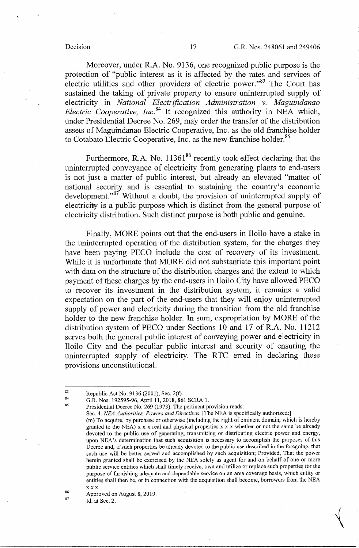Moreover, under R.A. No. 9136, one recognized public purpose is the protection of "public interest as it is affected by the rates and services of electric utilities and other providers of electric power."<sup>83</sup> The Court has sustained the taking of private property to ensure uninterrupted supply of electricity in *National Electrification Administration v. Maguindanao Electric Cooperative, Inc.*<sup>84</sup> It recognized this authority in NEA which, under Presidential Decree No. 269, may order the transfer of the distribution assets of Maguindanao Electric Cooperative, Inc. as the old franchise holder to Cotabato Electric Cooperative, Inc. as the new franchise holder.<sup>85</sup>

Furthermore, R.A. No.  $11361^{86}$  recently took effect declaring that the unintenupted conveyance of electricity from generating plants to end-users is not just a matter of public interest, but already an elevated "matter of national security and is essential to sustaining the country's economic development."<sup>87'</sup> Without a doubt, the provision of uninterrupted supply of electricity is a public purpose which is distinct from the general purpose of electricity distribution. Such distinct purpose is both public and genuine.

Finally, MORE points out that the end-users in Iloilo have a stake in the uninterrupted operation of the distribution system, for the charges they have been paying PECO include the cost of recovery of its investment. While it is unfortunate that MORE did not substantiate this important point with data on the structure of the distribution charges and the extent to which payment of these charges by the end-users in Iloilo City have allowed PECO to recover its investment in the distribution system, it remains a valid expectation on the part of the end-users that they will enjoy uninterrupted supply of power and electricity during the transition from the old franchise holder to the new franchise holder. In sum, expropriation by MORE of the distribution system of PECO under Sections 10 and 17 of R.A. No. 11212 serves both the general public interest of conveying power and electricity in Iloilo City and the peculiar public interest and security of ensuring the uninterrupted supply of electricity. The RTC erred in declaring these provisions unconstitutional.

85

<sup>83</sup>  84 Republic Act No. 9136 (2001), Sec. 2(f).

G.R. Nos. 192595-96, April 11, 2018, 861 SCRA 1.

Presidential Decree No. 269 (1973). The pertinent provision reads:

Sec. 4. *NEA Authorities, Powers and Directives.* [The NEA is specifically authorized:]

<sup>(</sup>m) To acquire, by purchase or otherwise (including the right of eminent domain, which is hereby granted to the NEA)  $x \times x$  real and physical properties  $x \times x$  whether or not the same be already devoted to the public use of generating, transmitting or distributing electric power and energy, upon NEA's determination that such acquisition is necessary to accomplish the purposes of this Decree and, if such properties be already devoted to the public use described in the foregoing, that such use will be better served and accomplished by such acquisition; Provided, That the power herein granted shall be exercised by the NEA solely as agent for and on behalf of one or more public service entities which shall timely receive, own and utilize or replace such properties for the purpose of furnishing adequate and dependable service on an area coverage basis, which entity or entities shall then be, or in connection with the acquisition shall become, borrowers from the NEA XXX

<sup>86</sup>  87 Approved on August 8, 2019.

Id. at Sec. 2.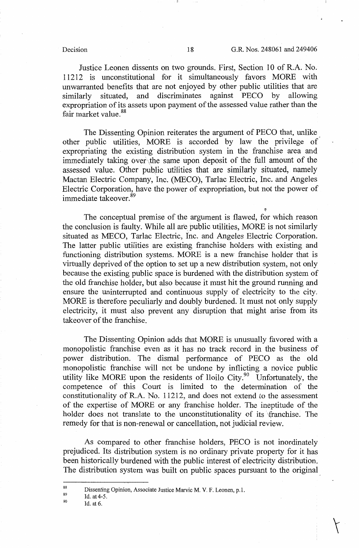Justice Leonen dissents on two grounds. First, Section 10 of R.A. No. 11212 is unconstitutional for it simultaneously favors MORE with unwarranted benefits that are not enjoyed by other public utilities that are similarly situated, and discriminates against PECO by allowing expropriation of its assets upon payment of the assessed value rather than the fair market value.<sup>88</sup>

The Dissenting Opinion reiterates the argument of PECO that, unlike other public utilities, MORE is accorded by law the privilege of expropriating the existing distribution system in the franchise area and immediately taking over the same upon deposit of the full amount of the assessed value. Other public utilities that are similarly situated, namely Mactan Electric Company, Inc. (MECO), Tarlac Electric, Inc. and Angeles Electric Corporation, have the power of expropriation, but not the power of immediate takeover.<sup>89</sup>

The conceptual premise of the argument is flawed, for which reason the conclusion is faulty. While all are public utilities, MORE is not similarly situated as MECO, Tarlac Electric, Inc. and Angeles Electric Corporation. The latter public utilities are existing franchise holders with existing and functioning distribution systems. MORE is a new franchise holder that is virtually deprived of the option to set up a new distribution system, not only because the existing public space is burdened with the distribution system of the old franchise holder, but also because it must hit the ground running and ensure the uninterrupted and continuous supply of electricity to the city. MORE is therefore peculiarly and doubly burdened. It must not only supply electricity, it must also prevent any disruption that might arise from its takeover of the franchise.

The Dissenting Opinion adds that MORE is unusually favored with a monopolistic franchise even as it has no track record in the business of power distribution. The dismal performance of PECO as the old monopolistic franchise will not be undone by inflicting a novice public utility like MORE upon the residents of Iloilo City.<sup>90</sup> Unfortunately, the competence of this Court is limited to the determination of the constitutionality of R.A. No. 11212, and does not extend to the assessment of the expertise of MORE or any franchise holder. The ineptitude of the holder does not translate to the unconstitutionality of its franchise. The remedy for that is non-renewal or cancellation, not judicial review.

As compared to other franchise holders, PECO is not inordinately prejudiced. Its distribution system is no ordinary private property for it has been historically burdened with the public interest of electricity distribution. The distribution system was built on public spaces pursuant to the original

<sup>88</sup>  89 Dissenting Opinion, Associate Justice Marvic M. V, F. Leonen, p.l.

<sup>90</sup>  Id. at 4-5.

Id. at 6.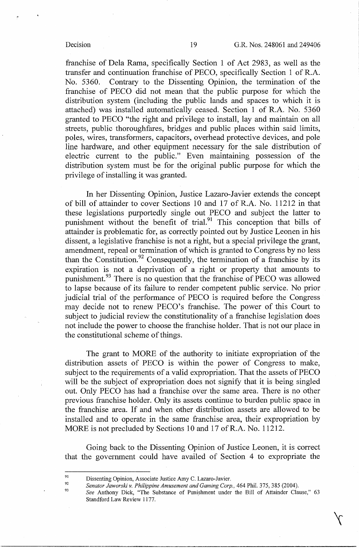franchise of Dela Rama, specifically Section 1 of Act 2983, as well as the transfer and continuation franchise of PECO, specifically Section 1 of R.A. No. 5360. Contrary to the Dissenting Opinion, the termination of the franchise of PECO did not mean that the public purpose for which the distribution system (including the public lands and spaces to which it is attached) was installed automatically ceased. Section 1 of R.A. No. 5360 granted to PECO "the right and privilege to install, lay and maintain on all streets, public thoroughfares, bridges and public places within said limits, poles, wires, transformers, capacitors, overhead protective devices, and pole line hardware, and other equipment necessary for the sale distribution of electric current to the public." Even maintaining possession of the distribution system must be for the original public purpose for which the privilege of installing it was granted.

In her Dissenting Opinion, Justice Lazaro-Javier extends the concept of bill of attainder to cover Sections 10 and 17 of R.A. No. 11212 in that these legislations purportedly single out PECO and subject the latter to punishment without the benefit of trial.<sup>91</sup> This conception that bills of attainder is problematic for, as correctly pointed out by Justice Leonen in his dissent, a legislative franchise is not a right, but a special privilege the grant, amendment, repeal or termination of which is granted to Congress by no less than the Constitution.<sup>92</sup> Consequently, the termination of a franchise by its expiration is not a deprivation of a right or property that amounts to punishment.<sup>93</sup> There is no question that the franchise of PECO was allowed to lapse because of its failure to render competent public service. No prior judicial trial of the performance of PECO is required before the Congress may decide not to renew PECO's franchise. The power of this Court to subject to judicial review the constitutionality of a franchise legislation does not include the power to choose the franchise holder. That is not our place in the constitutional scheme of things.

The grant to MORE of the authority to initiate expropriation of the distribution assets of PECO is within the power of Congress to make, subject to the requirements of a valid expropriation. That the assets of PECO will be the subject of expropriation does not signify that it is being singled out. Only PECO has had a franchise over the same area. There is no other previous franchise holder. Only its assets continue to burden public space in the franchise area. If and when other distribution assets are allowed to be installed and to operate in the same franchise area, their expropriation by MORE is not precluded by Sections 10 and 17 of R.A. No. 11212.

Going back to the Dissenting Opinion of Justice Leonen, it is correct that the government could have availed of Section 4 to expropriate the

<sup>91</sup>  92 Dissenting Opinion, Associate Justice Amy C. Lazaro-Javier.

*Senator Jaworski v. Philippine Amusement and Gaming Corp.,* 464 Phil. 375, 385 (2004).

<sup>93</sup>  See Anthony Dick, "The Substance of Punishment under the Bill of Attainder Clause," 63 Standford Law Review 1177.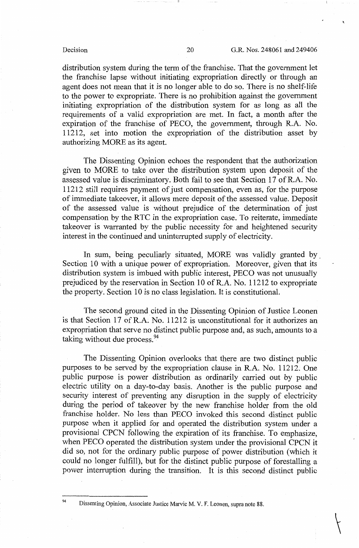$\overline{\mathcal{K}}$ 

distribution system during the term of the franchise. That the government let the franchise lapse without initiating expropriation directly or through an agent does not mean that it is no longer able to do so. There is no shelf-life to the power to expropriate. There is no prohibition against the government initiating expropriation of the distribution system for as long as all the requirements of a valid expropriation are met. In fact, a month after the expiration of the franchise of PECO, the government, through R.A. No. 11212, set into motion the expropriation of the distribution asset by authorizing MORE as its agent.

The Dissenting Opinion echoes the respondent that the authorization given to MORE to take over the distribution system upon deposit of the assessed value is discriminatory. Both fail to see that Section 17 of R.A. No. 11212 still requires payment of just compensation, even as, for the purpose of immediate takeover, it allows mere deposit of the assessed value. Deposit of the assessed value is without prejudice of the determination of just compensation by the RTC in the expropriation case. To reiterate, immediate takeover is warranted by the public necessity for and heightened security interest in the continued and uninterrupted supply of electricity.

In sum, being peculiarly situated, MORE was validly granted by Section 10 with a unique power of expropriation. Moreover, given that its distribution system is imbued with public interest, PECO was not unusually prejudiced by the reservation in Section 10 of R.A. No. 11212 to expropriate the property. Section 10 is no class legislation. It is constitutional.

The second ground cited in the Dissenting Opinion of Justice Leonen is that Section 17 of R.A: No. 11212 is unconstitutional for it authorizes an expropriation that serve no distinct public purpose and, as such, amounts to a taking without due process.<sup>94</sup>

The Dissenting Opinion overlooks that there are two distinct public purposes to be served by the expropriation clause in R.A. No. 11212. One public purpose is power distribution as ordinarily carried out by public electric utility on a day-to-day basis. Another is the public purpose and security interest of preventing any disruption in the supply of electricity during the period of takeover by the new franchise holder from the old franchise holder. No less than PECO invoked this second distinct public purpose when it applied for and operated the distribution system under a provisional CPCN following the expiration of its franchise. To emphasize, when PECO operated the distribution system under the provisional CPCN it did so, not for the ordinary public purpose of power distribution (which it could no longer fulfill), but for the distinct public purpose of forestalling a power interruption during the transition. It is this second distinct public

<sup>94</sup> Dissenting Opinion, Associate Justice Marvic M. V. F. Leonen, supra note 88.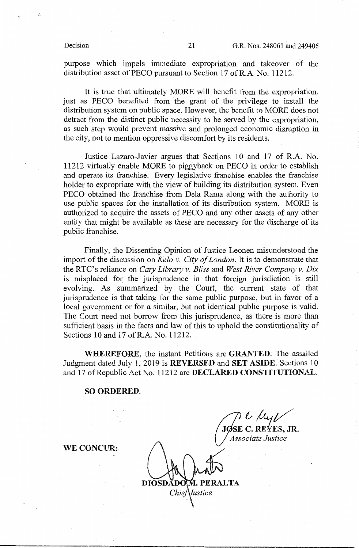purpose which impels immediate expropriation and takeover of the distribution asset of PECO pursuant to Section 17 of R.A. No. 11212.

It is true that ultimately MORE will benefit from the expropriation, just as PECO benefited from the grant of the privilege to install the distribution system on public space. However, the benefit to MORE does not detract from the distinct public necessity to be served by the expropriation, as such step would prevent massive and prolonged economic disruption in the city, not to mention oppressive discomfort by its residents.

Justice Lazaro-Javier argues that Sections 10 and 17 of R.A. No. 11212 virtually enable MORE to piggyback on PECO in order to establish and operate its franchise. Every legislative franchise enables the franchise holder to expropriate with the view of building its distribution system. Even PECO obtained the franchise from Dela Rama along with the authority to use public spaces for the installation of its distribution system. MORE is . authorized to acquire the assets of PECO and any other assets of any other entity that might be available as these are necessary for the discharge of its public franchise.

Finally, the Dissenting Opinion of Justice Leonen misunderstood the import of the discussion on *Kela v. City of London.* It is to demonstrate that the RTC's reliance on *Cary Library v. Bliss* and *West River Company v. Dix*  is misplaced for the jurisprudence in that foreign jurisdiction is still evolving. As summarized by the Court, the current state of that jurisprudence is that taking for the same public purpose, but in favor of a local government or for a similar, but not identical public purpose is valid. The Court need not borrow from this jurisprudence, as there is more than sufficient basis in the facts and law of this to uphold the constitutionality of Sections 10 and 17 ofR.A. No. 11212.

**WHEREFORE,** the instant Petitions are **GRANTED.** The assailed Judgment dated July 1, 2019 is **REVERSED** and **SET ASIDE.** Sections 10 and 17 of Republic Act No. 11212 are **DECLARED CONSTITUTIONAL**.

### **SO ORDERED.**

*10SE* C. REYES, JR.

**\VE CONCUR:-**

I. PERALTA DIOSDADO Iustice Chie.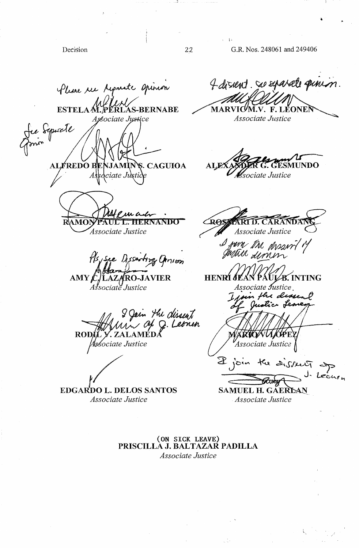Decision 22

- i•

 $\cdot$ 

G.R. Nos. 248061 and 249406

l.

fluire rue Ayanate Opinion 4 dissent. Se sparate pin £ **ESTELA M. PERLAS-BERNABE** MARVIC/M.V. F. LEONE Associate Justice 'ociate Jystice iguate **ALFREDO B** S. CAGUIOA **NDO** sociate Justice As ciate Ju . CARANDANC P su a **ROSTART D. CARAN** RAMO UL L. HERNANDO Associate Justice I june the desired Anion L. LAZARO-JAVIER UL⁄B. INTING AMY **HENRI** Associate Justice . oin the dessen tic Leo rin *Hu clissent*<br>/ Of Q. Leonen *iLY.* ZALAMED<br>Associate Justice **ROI** Associate Justice )<br>
Join the distert of<br> **COMPLIA** CAERTAN **EDGARDO L. DELOS SANTOS**  $2$   $\degree$   $\degree$ **SAMUEL H. GAERLAN** *Associate Justice Associate Justice* 

**(ON SICK LEAVE) PRISCILLA J. BALTAZAR PADILLA**  *Associate Justice*